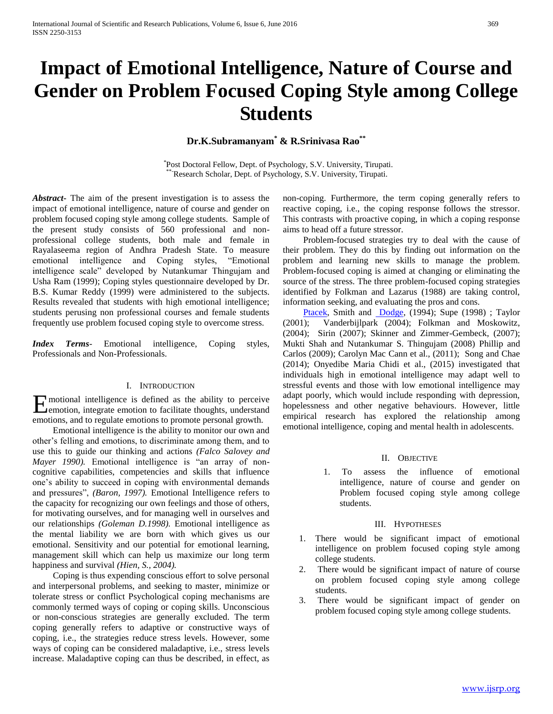# **Impact of Emotional Intelligence, Nature of Course and Gender on Problem Focused Coping Style among College Students**

**Dr.K.Subramanyam\* & R.Srinivasa Rao\*\***

\* Post Doctoral Fellow, Dept. of Psychology, S.V. University, Tirupati. \*Research Scholar, Dept. of Psychology, S.V. University, Tirupati.

*Abstract***-** The aim of the present investigation is to assess the impact of emotional intelligence, nature of course and gender on problem focused coping style among college students. Sample of the present study consists of 560 professional and nonprofessional college students, both male and female in Rayalaseema region of Andhra Pradesh State. To measure emotional intelligence and Coping styles, "Emotional intelligence scale" developed by Nutankumar Thingujam and Usha Ram (1999); Coping styles questionnaire developed by Dr. B.S. Kumar Reddy (1999) were administered to the subjects. Results revealed that students with high emotional intelligence; students perusing non professional courses and female students frequently use problem focused coping style to overcome stress.

*Index Terms*- Emotional intelligence, Coping styles, Professionals and Non-Professionals.

## I. INTRODUCTION

motional intelligence is defined as the ability to perceive E**Premotion, integrate emotion to facilitate thoughts, understand** emotions, and to regulate emotions to promote personal growth.

 Emotional intelligence is the ability to monitor our own and other's felling and emotions, to discriminate among them, and to use this to guide our thinking and actions *(Falco Salovey and Mayer 1990).* Emotional intelligence is "an array of noncognitive capabilities, competencies and skills that influence one's ability to succeed in coping with environmental demands and pressures", *(Baron, 1997).* Emotional Intelligence refers to the capacity for recognizing our own feelings and those of others, for motivating ourselves, and for managing well in ourselves and our relationships *(Goleman D.1998).* Emotional intelligence as the mental liability we are born with which gives us our emotional. Sensitivity and our potential for emotional learning, management skill which can help us maximize our long term happiness and survival *(Hien, S., 2004).*

 Coping is thus expending conscious effort to solve personal and interpersonal problems, and seeking to master, minimize or tolerate stress or conflict Psychological coping mechanisms are commonly termed ways of coping or coping skills. Unconscious or non-conscious strategies are generally excluded. The term coping generally refers to adaptive or constructive ways of coping, i.e., the strategies reduce stress levels. However, some ways of coping can be considered maladaptive, i.e., stress levels increase. Maladaptive coping can thus be described, in effect, as

non-coping. Furthermore, the term coping generally refers to reactive coping, i.e., the coping response follows the stressor. This contrasts with proactive coping, in which a coping response aims to head off a future stressor.

 Problem-focused strategies try to deal with the cause of their problem. They do this by finding out information on the problem and learning new skills to manage the problem. Problem-focused coping is aimed at changing or eliminating the source of the stress. The three problem-focused coping strategies identified by Folkman and Lazarus (1988) are taking control, information seeking, and evaluating the pros and cons.

[Ptacek,](http://psp.sagepub.com/search?author1=J.+T.+Ptacek&sortspec=date&submit=Submit) Smith and [Dodge,](http://psp.sagepub.com/search?author1=Kenneth+L.+Dodge&sortspec=date&submit=Submit) (1994); Supe (1998) ; Taylor (2001); Vanderbijlpark (2004); Folkman and Moskowitz, (2004); Sirin (2007); Skinner and Zimmer-Gembeck, (2007); Mukti Shah and Nutankumar S. Thingujam (2008) Phillip and Carlos (2009); Carolyn Mac Cann et al., (2011); Song and Chae (2014); Onyedibe Maria Chidi et al., (2015) investigated that individuals high in emotional intelligence may adapt well to stressful events and those with low emotional intelligence may adapt poorly, which would include responding with depression, hopelessness and other negative behaviours. However, little empirical research has explored the relationship among emotional intelligence, coping and mental health in adolescents.

#### II. OBJECTIVE

1. To assess the influence of emotional intelligence, nature of course and gender on Problem focused coping style among college students.

#### III. HYPOTHESES

- 1. There would be significant impact of emotional intelligence on problem focused coping style among college students.
- 2. There would be significant impact of nature of course on problem focused coping style among college students.
- 3. There would be significant impact of gender on problem focused coping style among college students.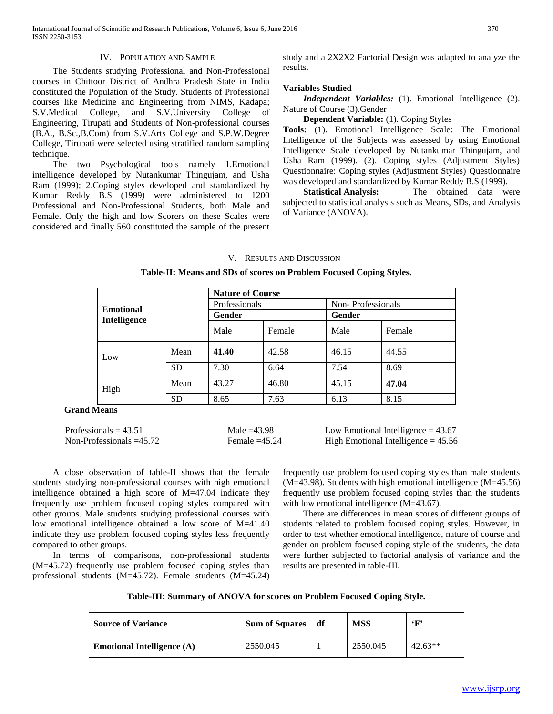# IV. POPULATION AND SAMPLE

 The Students studying Professional and Non-Professional courses in Chittoor District of Andhra Pradesh State in India constituted the Population of the Study. Students of Professional courses like Medicine and Engineering from NIMS, Kadapa; S.V.Medical College, and S.V.University College of Engineering, Tirupati and Students of Non-professional courses (B.A., B.Sc.,B.Com) from S.V.Arts College and S.P.W.Degree College, Tirupati were selected using stratified random sampling technique.

 The two Psychological tools namely 1.Emotional intelligence developed by Nutankumar Thingujam, and Usha Ram (1999); 2.Coping styles developed and standardized by Kumar Reddy B.S (1999) were administered to 1200 Professional and Non-Professional Students, both Male and Female. Only the high and low Scorers on these Scales were considered and finally 560 constituted the sample of the present

study and a 2X2X2 Factorial Design was adapted to analyze the results.

#### **Variables Studied**

 *Independent Variables:* (1). Emotional Intelligence (2). Nature of Course (3).Gender

**Dependent Variable:** (1). Coping Styles

**Tools:** (1). Emotional Intelligence Scale: The Emotional Intelligence of the Subjects was assessed by using Emotional Intelligence Scale developed by Nutankumar Thingujam, and Usha Ram (1999). (2). Coping styles (Adjustment Styles) Questionnaire: Coping styles (Adjustment Styles) Questionnaire was developed and standardized by Kumar Reddy B.S (1999).

 **Statistical Analysis:** The obtained data were subjected to statistical analysis such as Means, SDs, and Analysis of Variance (ANOVA).

#### V. RESULTS AND DISCUSSION

| Table-II: Means and SDs of scores on Problem Focused Coping Styles. |  |  |  |  |  |  |  |  |
|---------------------------------------------------------------------|--|--|--|--|--|--|--|--|
|---------------------------------------------------------------------|--|--|--|--|--|--|--|--|

|                                  |           | <b>Nature of Course</b> |        |                   |        |  |  |
|----------------------------------|-----------|-------------------------|--------|-------------------|--------|--|--|
|                                  |           | Professionals           |        | Non-Professionals |        |  |  |
| <b>Emotional</b><br>Intelligence |           | Gender                  |        | <b>Gender</b>     |        |  |  |
|                                  |           | Male                    | Female | Male              | Female |  |  |
| Low                              | Mean      | 41.40                   | 42.58  | 46.15             | 44.55  |  |  |
|                                  | <b>SD</b> | 7.30                    | 6.64   | 7.54              | 8.69   |  |  |
| High                             | Mean      | 43.27                   | 46.80  | 45.15             | 47.04  |  |  |
|                                  | <b>SD</b> | 8.65                    | 7.63   | 6.13              | 8.15   |  |  |

 **Grand Means**

| Professionals = $43.51$  | Male $=43.98$   | Low Emotional Intelligence $= 43.67$  |
|--------------------------|-----------------|---------------------------------------|
| Non-Professionals =45.72 | Female $=45.24$ | High Emotional Intelligence $= 45.56$ |

 A close observation of table-II shows that the female students studying non-professional courses with high emotional intelligence obtained a high score of M=47.04 indicate they frequently use problem focused coping styles compared with other groups. Male students studying professional courses with low emotional intelligence obtained a low score of M=41.40 indicate they use problem focused coping styles less frequently compared to other groups.

 In terms of comparisons, non-professional students (M=45.72) frequently use problem focused coping styles than professional students (M=45.72). Female students (M=45.24) frequently use problem focused coping styles than male students  $(M=43.98)$ . Students with high emotional intelligence  $(M=45.56)$ frequently use problem focused coping styles than the students with low emotional intelligence (M=43.67).

 There are differences in mean scores of different groups of students related to problem focused coping styles. However, in order to test whether emotional intelligence, nature of course and gender on problem focused coping style of the students, the data were further subjected to factorial analysis of variance and the results are presented in table-III.

**Table-III: Summary of ANOVA for scores on Problem Focused Coping Style.**

| <b>Source of Variance</b>           | Sum of Squares df | <b>MSS</b> | 6F)       |
|-------------------------------------|-------------------|------------|-----------|
| <b>Emotional Intelligence</b> $(A)$ | 2550.045          | 2550.045   | $42.63**$ |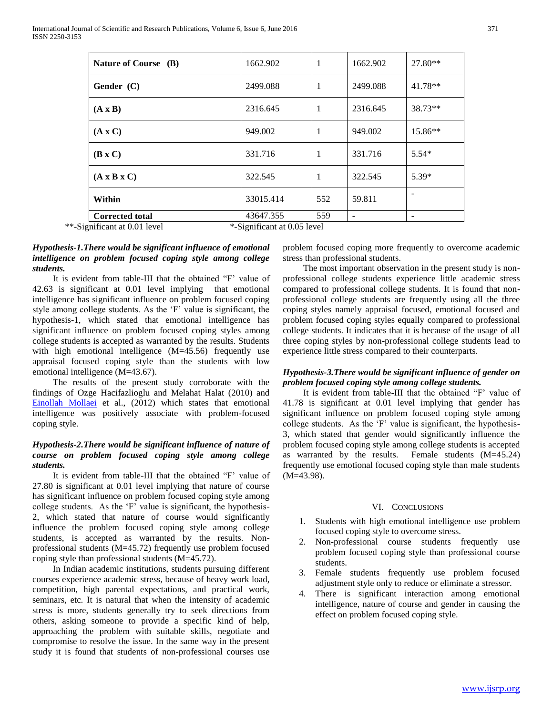# *Hypothesis-1.There would be significant influence of emotional intelligence on problem focused coping style among college students.*

 It is evident from table-III that the obtained "F' value of 42.63 is significant at 0.01 level implying that emotional intelligence has significant influence on problem focused coping style among college students. As the 'F' value is significant, the hypothesis-1, which stated that emotional intelligence has significant influence on problem focused coping styles among college students is accepted as warranted by the results. Students with high emotional intelligence (M=45.56) frequently use appraisal focused coping style than the students with low emotional intelligence (M=43.67).

 The results of the present study corroborate with the findings of Ozge Hacifazlioglu and Melahat Halat (2010) and [Einollah Mollaei](http://pajoohande.sbmu.ac.ir/search.php?slc_lang=en&sid=1&auth=Einollah+Mollaei) et al., (2012) which states that emotional intelligence was positively associate with problem-focused coping style.

# *Hypothesis-2.There would be significant influence of nature of course on problem focused coping style among college students.*

 It is evident from table-III that the obtained "F' value of 27.80 is significant at 0.01 level implying that nature of course has significant influence on problem focused coping style among college students. As the 'F' value is significant, the hypothesis-2, which stated that nature of course would significantly influence the problem focused coping style among college students, is accepted as warranted by the results. Nonprofessional students (M=45.72) frequently use problem focused coping style than professional students (M=45.72).

 In Indian academic institutions, students pursuing different courses experience academic stress, because of heavy work load, competition, high parental expectations, and practical work, seminars, etc. It is natural that when the intensity of academic stress is more, students generally try to seek directions from others, asking someone to provide a specific kind of help, approaching the problem with suitable skills, negotiate and compromise to resolve the issue. In the same way in the present study it is found that students of non-professional courses use problem focused coping more frequently to overcome academic stress than professional students.

 The most important observation in the present study is nonprofessional college students experience little academic stress compared to professional college students. It is found that nonprofessional college students are frequently using all the three coping styles namely appraisal focused, emotional focused and problem focused coping styles equally compared to professional college students. It indicates that it is because of the usage of all three coping styles by non-professional college students lead to experience little stress compared to their counterparts.

## *Hypothesis-3.There would be significant influence of gender on problem focused coping style among college students.*

 It is evident from table-III that the obtained "F' value of 41.78 is significant at 0.01 level implying that gender has significant influence on problem focused coping style among college students. As the 'F' value is significant, the hypothesis-3, which stated that gender would significantly influence the problem focused coping style among college students is accepted as warranted by the results. Female students (M=45.24) frequently use emotional focused coping style than male students (M=43.98).

## VI. CONCLUSIONS

- 1. Students with high emotional intelligence use problem focused coping style to overcome stress.
- 2. Non-professional course students frequently use problem focused coping style than professional course students.
- 3. Female students frequently use problem focused adjustment style only to reduce or eliminate a stressor.
- 4. There is significant interaction among emotional intelligence, nature of course and gender in causing the effect on problem focused coping style.

| International Journal of Scientific and Research Publications, Volume 6, Issue 6, June 2016 | 371 |
|---------------------------------------------------------------------------------------------|-----|
| ISSN 2250-3153                                                                              |     |

| Nature of Course (B)         | 1662.902                    | 1   | 1662.902 | $27.80**$ |
|------------------------------|-----------------------------|-----|----------|-----------|
| Gender (C)                   | 2499.088                    | 1   | 2499.088 | $41.78**$ |
| $(A \times B)$               | 2316.645                    | 1   | 2316.645 | 38.73**   |
| $(A \times C)$               | 949.002                     | 1   | 949.002  | 15.86**   |
| $(B \times C)$               | 331.716                     | 1   | 331.716  | $5.54*$   |
| $(A \times B \times C)$      | 322.545                     | 1   | 322.545  | $5.39*$   |
| Within                       | 33015.414                   | 552 | 59.811   |           |
| <b>Corrected total</b>       | 43647.355                   | 559 | -        | -         |
| **-Significant at 0.01 level | *-Significant at 0.05 level |     |          |           |